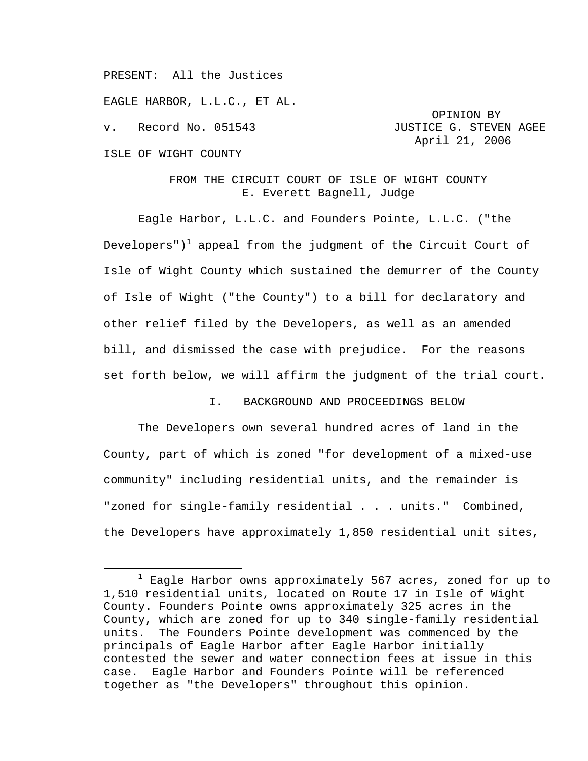PRESENT: All the Justices

EAGLE HARBOR, L.L.C., ET AL.

OPINION BY v. Record No. 051543 JUSTICE G. STEVEN AGEE April 21, 2006

# ISLE OF WIGHT COUNTY

## FROM THE CIRCUIT COURT OF ISLE OF WIGHT COUNTY E. Everett Bagnell, Judge

Eagle Harbor, L.L.C. and Founders Pointe, L.L.C. ("the Developers") $^{\rm l}$  appeal from the judgment of the Circuit Court of Isle of Wight County which sustained the demurrer of the County of Isle of Wight ("the County") to a bill for declaratory and other relief filed by the Developers, as well as an amended bill, and dismissed the case with prejudice. For the reasons set forth below, we will affirm the judgment of the trial court.

## I. BACKGROUND AND PROCEEDINGS BELOW

The Developers own several hundred acres of land in the County, part of which is zoned "for development of a mixed-use community" including residential units, and the remainder is "zoned for single-family residential . . . units." Combined, the Developers have approximately 1,850 residential unit sites,

 $\overline{\phantom{a}}$  $1$  Eagle Harbor owns approximately 567 acres, zoned for up to 1,510 residential units, located on Route 17 in Isle of Wight County. Founders Pointe owns approximately 325 acres in the County, which are zoned for up to 340 single-family residential units. The Founders Pointe development was commenced by the principals of Eagle Harbor after Eagle Harbor initially contested the sewer and water connection fees at issue in this case. Eagle Harbor and Founders Pointe will be referenced together as "the Developers" throughout this opinion.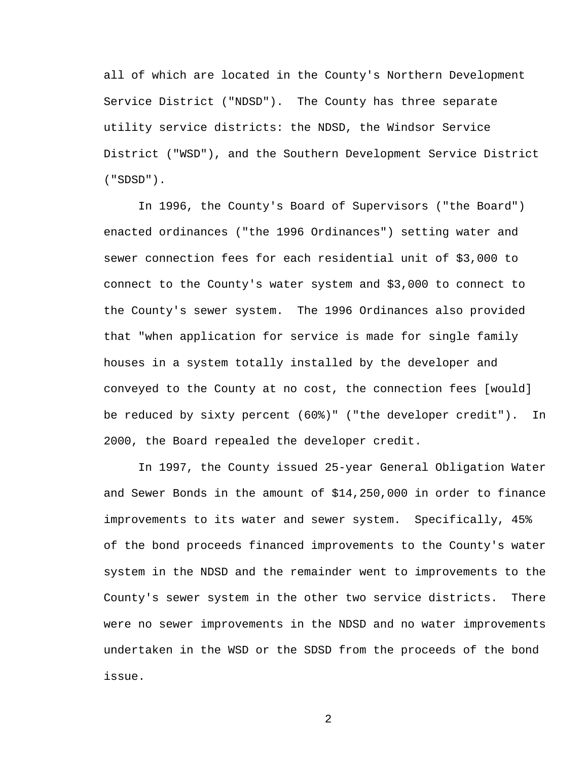all of which are located in the County's Northern Development Service District ("NDSD"). The County has three separate utility service districts: the NDSD, the Windsor Service District ("WSD"), and the Southern Development Service District ("SDSD").

In 1996, the County's Board of Supervisors ("the Board") enacted ordinances ("the 1996 Ordinances") setting water and sewer connection fees for each residential unit of \$3,000 to connect to the County's water system and \$3,000 to connect to the County's sewer system. The 1996 Ordinances also provided that "when application for service is made for single family houses in a system totally installed by the developer and conveyed to the County at no cost, the connection fees [would] be reduced by sixty percent (60%)" ("the developer credit"). In 2000, the Board repealed the developer credit.

In 1997, the County issued 25-year General Obligation Water and Sewer Bonds in the amount of \$14,250,000 in order to finance improvements to its water and sewer system. Specifically, 45% of the bond proceeds financed improvements to the County's water system in the NDSD and the remainder went to improvements to the County's sewer system in the other two service districts. There were no sewer improvements in the NDSD and no water improvements undertaken in the WSD or the SDSD from the proceeds of the bond issue.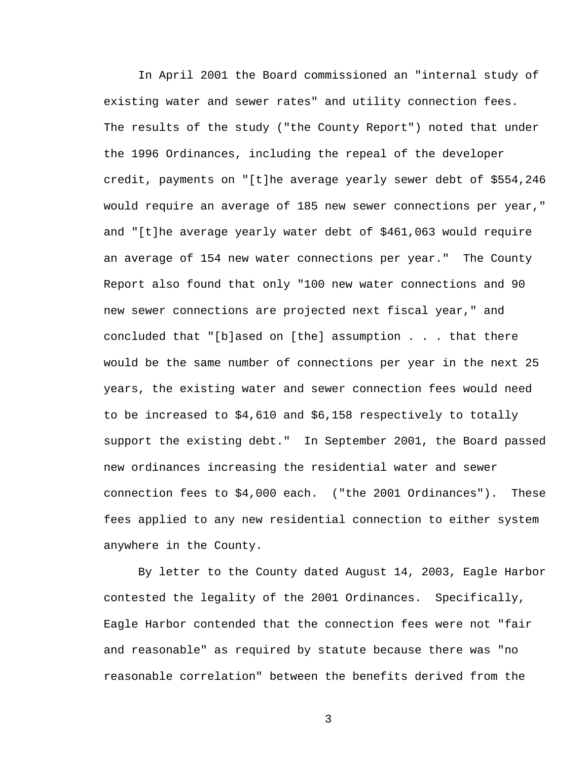In April 2001 the Board commissioned an "internal study of existing water and sewer rates" and utility connection fees. The results of the study ("the County Report") noted that under the 1996 Ordinances, including the repeal of the developer credit, payments on "[t]he average yearly sewer debt of \$554,246 would require an average of 185 new sewer connections per year," and "[t]he average yearly water debt of \$461,063 would require an average of 154 new water connections per year." The County Report also found that only "100 new water connections and 90 new sewer connections are projected next fiscal year," and concluded that "[b]ased on [the] assumption . . . that there would be the same number of connections per year in the next 25 years, the existing water and sewer connection fees would need to be increased to \$4,610 and \$6,158 respectively to totally support the existing debt." In September 2001, the Board passed new ordinances increasing the residential water and sewer connection fees to \$4,000 each. ("the 2001 Ordinances"). These fees applied to any new residential connection to either system anywhere in the County.

By letter to the County dated August 14, 2003, Eagle Harbor contested the legality of the 2001 Ordinances. Specifically, Eagle Harbor contended that the connection fees were not "fair and reasonable" as required by statute because there was "no reasonable correlation" between the benefits derived from the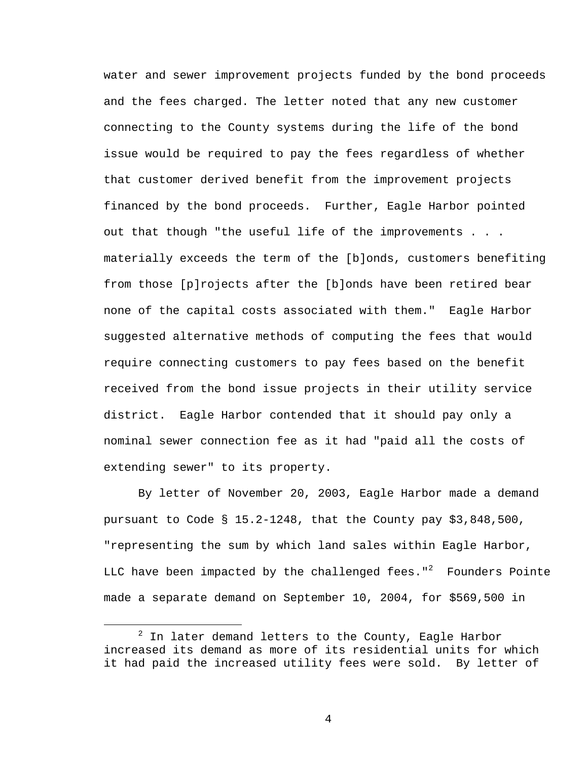water and sewer improvement projects funded by the bond proceeds and the fees charged. The letter noted that any new customer connecting to the County systems during the life of the bond issue would be required to pay the fees regardless of whether that customer derived benefit from the improvement projects financed by the bond proceeds. Further, Eagle Harbor pointed out that though "the useful life of the improvements . . . materially exceeds the term of the [b]onds, customers benefiting from those [p]rojects after the [b]onds have been retired bear none of the capital costs associated with them." Eagle Harbor suggested alternative methods of computing the fees that would require connecting customers to pay fees based on the benefit received from the bond issue projects in their utility service district. Eagle Harbor contended that it should pay only a nominal sewer connection fee as it had "paid all the costs of extending sewer" to its property.

By letter of November 20, 2003, Eagle Harbor made a demand pursuant to Code § 15.2-1248, that the County pay \$3,848,500, "representing the sum by which land sales within Eagle Harbor, LLC have been impacted by the challenged fees." $^{\rm 2}$  Founders Pointe made a separate demand on September 10, 2004, for \$569,500 in

 <sup>2</sup> In later demand letters to the County, Eagle Harbor increased its demand as more of its residential units for which it had paid the increased utility fees were sold. By letter of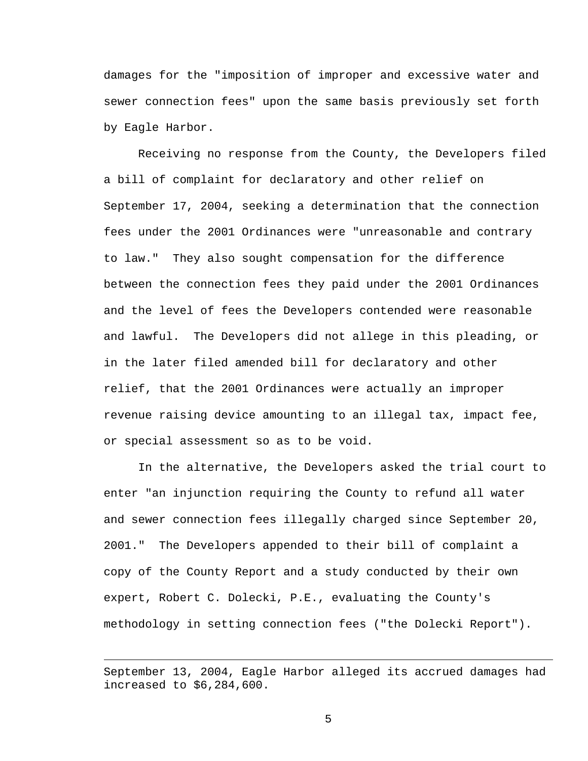damages for the "imposition of improper and excessive water and sewer connection fees" upon the same basis previously set forth by Eagle Harbor.

Receiving no response from the County, the Developers filed a bill of complaint for declaratory and other relief on September 17, 2004, seeking a determination that the connection fees under the 2001 Ordinances were "unreasonable and contrary to law." They also sought compensation for the difference between the connection fees they paid under the 2001 Ordinances and the level of fees the Developers contended were reasonable and lawful. The Developers did not allege in this pleading, or in the later filed amended bill for declaratory and other relief, that the 2001 Ordinances were actually an improper revenue raising device amounting to an illegal tax, impact fee, or special assessment so as to be void.

In the alternative, the Developers asked the trial court to enter "an injunction requiring the County to refund all water and sewer connection fees illegally charged since September 20, 2001." The Developers appended to their bill of complaint a copy of the County Report and a study conducted by their own expert, Robert C. Dolecki, P.E., evaluating the County's methodology in setting connection fees ("the Dolecki Report").

 $\overline{\phantom{0}}$ 

September 13, 2004, Eagle Harbor alleged its accrued damages had increased to \$6,284,600.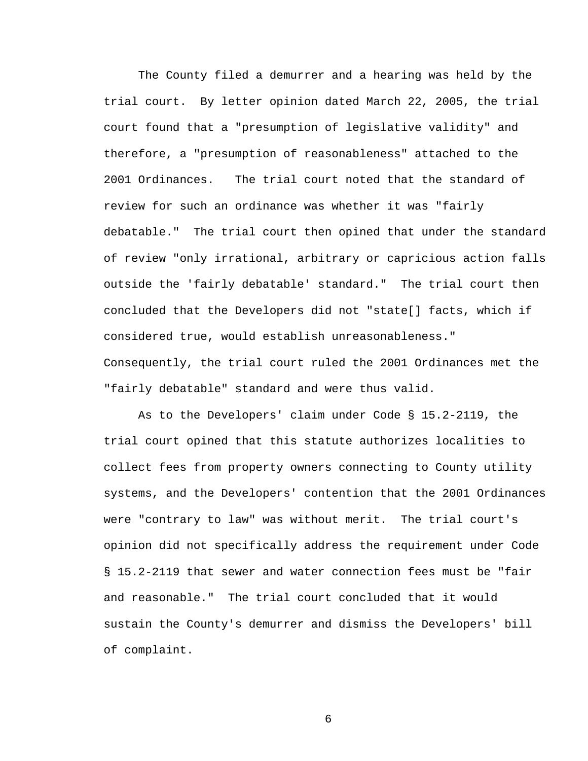The County filed a demurrer and a hearing was held by the trial court. By letter opinion dated March 22, 2005, the trial court found that a "presumption of legislative validity" and therefore, a "presumption of reasonableness" attached to the 2001 Ordinances. The trial court noted that the standard of review for such an ordinance was whether it was "fairly debatable." The trial court then opined that under the standard of review "only irrational, arbitrary or capricious action falls outside the 'fairly debatable' standard." The trial court then concluded that the Developers did not "state[] facts, which if considered true, would establish unreasonableness." Consequently, the trial court ruled the 2001 Ordinances met the "fairly debatable" standard and were thus valid.

As to the Developers' claim under Code § 15.2-2119, the trial court opined that this statute authorizes localities to collect fees from property owners connecting to County utility systems, and the Developers' contention that the 2001 Ordinances were "contrary to law" was without merit. The trial court's opinion did not specifically address the requirement under Code § 15.2-2119 that sewer and water connection fees must be "fair and reasonable." The trial court concluded that it would sustain the County's demurrer and dismiss the Developers' bill of complaint.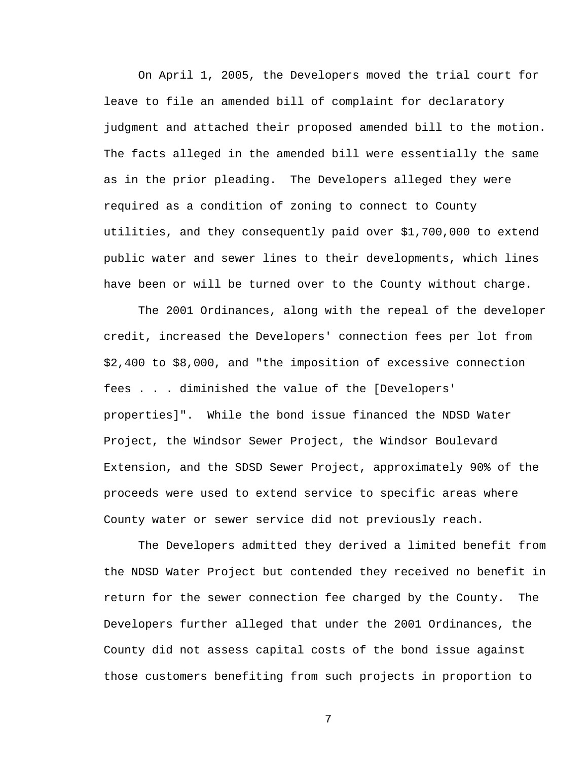On April 1, 2005, the Developers moved the trial court for leave to file an amended bill of complaint for declaratory judgment and attached their proposed amended bill to the motion. The facts alleged in the amended bill were essentially the same as in the prior pleading. The Developers alleged they were required as a condition of zoning to connect to County utilities, and they consequently paid over \$1,700,000 to extend public water and sewer lines to their developments, which lines have been or will be turned over to the County without charge.

The 2001 Ordinances, along with the repeal of the developer credit, increased the Developers' connection fees per lot from \$2,400 to \$8,000, and "the imposition of excessive connection fees . . . diminished the value of the [Developers' properties]". While the bond issue financed the NDSD Water Project, the Windsor Sewer Project, the Windsor Boulevard Extension, and the SDSD Sewer Project, approximately 90% of the proceeds were used to extend service to specific areas where County water or sewer service did not previously reach.

The Developers admitted they derived a limited benefit from the NDSD Water Project but contended they received no benefit in return for the sewer connection fee charged by the County. The Developers further alleged that under the 2001 Ordinances, the County did not assess capital costs of the bond issue against those customers benefiting from such projects in proportion to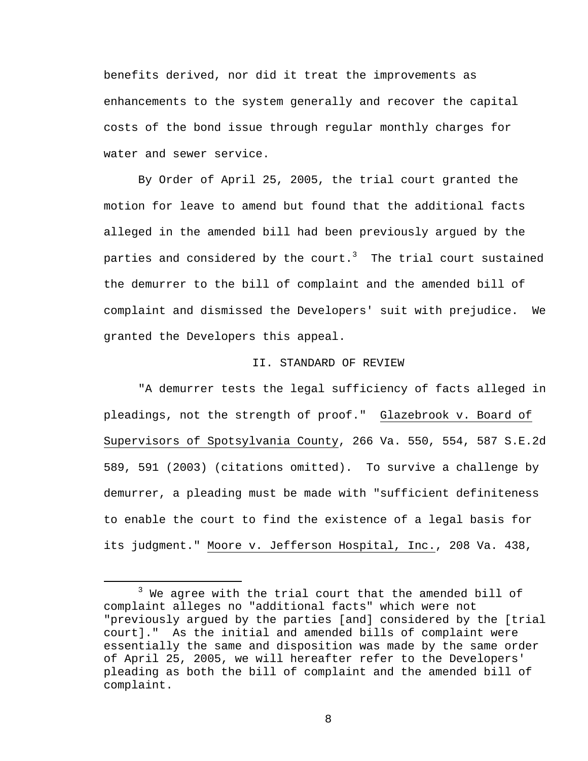benefits derived, nor did it treat the improvements as enhancements to the system generally and recover the capital costs of the bond issue through regular monthly charges for water and sewer service.

By Order of April 25, 2005, the trial court granted the motion for leave to amend but found that the additional facts alleged in the amended bill had been previously argued by the parties and considered by the court. $^3$  The trial court sustained the demurrer to the bill of complaint and the amended bill of complaint and dismissed the Developers' suit with prejudice. We granted the Developers this appeal.

#### II. STANDARD OF REVIEW

"A demurrer tests the legal sufficiency of facts alleged in pleadings, not the strength of proof." Glazebrook v. Board of Supervisors of Spotsylvania County, 266 Va. 550, 554, 587 S.E.2d 589, 591 (2003) (citations omitted). To survive a challenge by demurrer, a pleading must be made with "sufficient definiteness to enable the court to find the existence of a legal basis for its judgment." Moore v. Jefferson Hospital, Inc., 208 Va. 438,

 $\overline{\phantom{a}}$  3  $3$  We agree with the trial court that the amended bill of complaint alleges no "additional facts" which were not "previously argued by the parties [and] considered by the [trial court]." As the initial and amended bills of complaint were essentially the same and disposition was made by the same order of April 25, 2005, we will hereafter refer to the Developers' pleading as both the bill of complaint and the amended bill of complaint.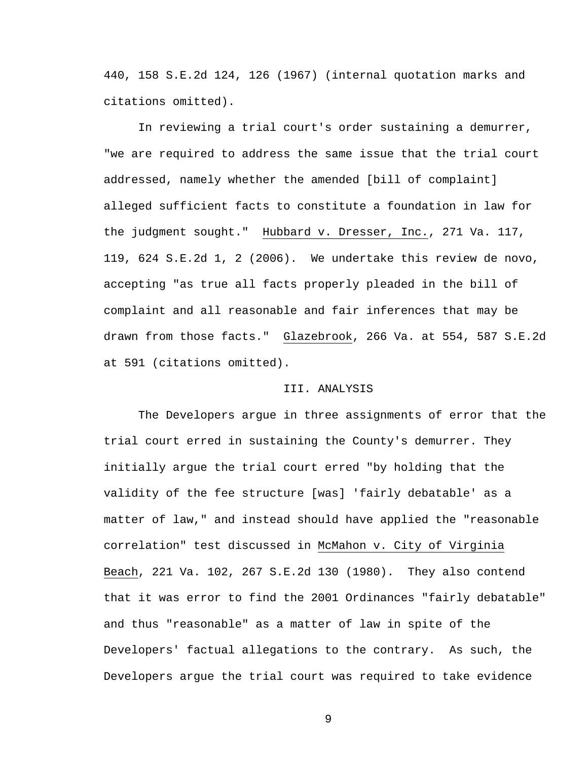440, 158 S.E.2d 124, 126 (1967) (internal quotation marks and citations omitted).

In reviewing a trial court's order sustaining a demurrer, "we are required to address the same issue that the trial court addressed, namely whether the amended [bill of complaint] alleged sufficient facts to constitute a foundation in law for the judgment sought." Hubbard v. Dresser, Inc., 271 Va. 117, 119, 624 S.E.2d 1, 2 (2006). We undertake this review de novo, accepting "as true all facts properly pleaded in the bill of complaint and all reasonable and fair inferences that may be drawn from those facts." Glazebrook, 266 Va. at 554, 587 S.E.2d at 591 (citations omitted).

#### III. ANALYSIS

The Developers argue in three assignments of error that the trial court erred in sustaining the County's demurrer. They initially argue the trial court erred "by holding that the validity of the fee structure [was] 'fairly debatable' as a matter of law," and instead should have applied the "reasonable correlation" test discussed in McMahon v. City of Virginia Beach, 221 Va. 102, 267 S.E.2d 130 (1980). They also contend that it was error to find the 2001 Ordinances "fairly debatable" and thus "reasonable" as a matter of law in spite of the Developers' factual allegations to the contrary. As such, the Developers argue the trial court was required to take evidence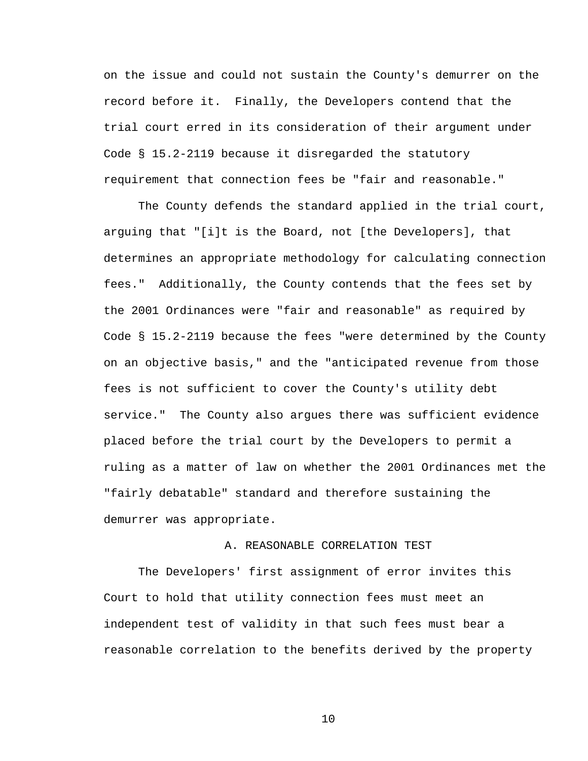on the issue and could not sustain the County's demurrer on the record before it. Finally, the Developers contend that the trial court erred in its consideration of their argument under Code § 15.2-2119 because it disregarded the statutory requirement that connection fees be "fair and reasonable."

The County defends the standard applied in the trial court, arguing that "[i]t is the Board, not [the Developers], that determines an appropriate methodology for calculating connection fees." Additionally, the County contends that the fees set by the 2001 Ordinances were "fair and reasonable" as required by Code § 15.2-2119 because the fees "were determined by the County on an objective basis," and the "anticipated revenue from those fees is not sufficient to cover the County's utility debt service." The County also argues there was sufficient evidence placed before the trial court by the Developers to permit a ruling as a matter of law on whether the 2001 Ordinances met the "fairly debatable" standard and therefore sustaining the demurrer was appropriate.

#### A. REASONABLE CORRELATION TEST

The Developers' first assignment of error invites this Court to hold that utility connection fees must meet an independent test of validity in that such fees must bear a reasonable correlation to the benefits derived by the property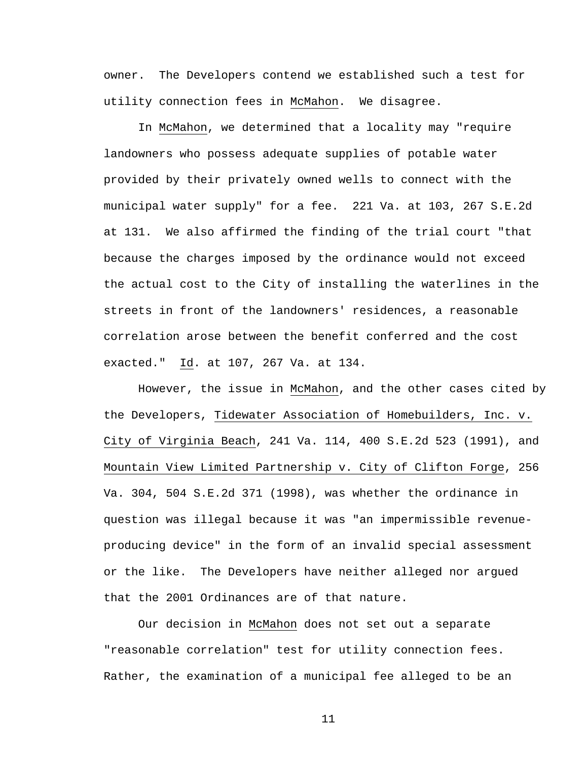owner. The Developers contend we established such a test for utility connection fees in McMahon. We disagree.

In McMahon, we determined that a locality may "require landowners who possess adequate supplies of potable water provided by their privately owned wells to connect with the municipal water supply" for a fee. 221 Va. at 103, 267 S.E.2d at 131. We also affirmed the finding of the trial court "that because the charges imposed by the ordinance would not exceed the actual cost to the City of installing the waterlines in the streets in front of the landowners' residences, a reasonable correlation arose between the benefit conferred and the cost exacted." Id. at 107, 267 Va. at 134.

However, the issue in McMahon, and the other cases cited by the Developers, Tidewater Association of Homebuilders, Inc. v. City of Virginia Beach, 241 Va. 114, 400 S.E.2d 523 (1991), and Mountain View Limited Partnership v. City of Clifton Forge, 256 Va. 304, 504 S.E.2d 371 (1998), was whether the ordinance in question was illegal because it was "an impermissible revenueproducing device" in the form of an invalid special assessment or the like. The Developers have neither alleged nor argued that the 2001 Ordinances are of that nature.

Our decision in McMahon does not set out a separate "reasonable correlation" test for utility connection fees. Rather, the examination of a municipal fee alleged to be an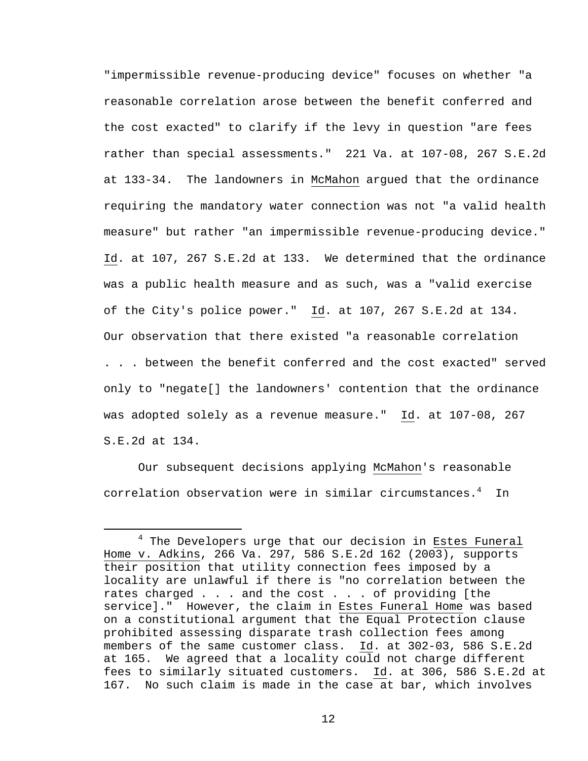"impermissible revenue-producing device" focuses on whether "a reasonable correlation arose between the benefit conferred and the cost exacted" to clarify if the levy in question "are fees rather than special assessments." 221 Va. at 107-08, 267 S.E.2d at 133-34. The landowners in McMahon argued that the ordinance requiring the mandatory water connection was not "a valid health measure" but rather "an impermissible revenue-producing device." Id. at 107, 267 S.E.2d at 133. We determined that the ordinance was a public health measure and as such, was a "valid exercise of the City's police power." Id. at 107, 267 S.E.2d at 134. Our observation that there existed "a reasonable correlation . . . between the benefit conferred and the cost exacted" served only to "negate[] the landowners' contention that the ordinance was adopted solely as a revenue measure." Id. at 107-08, 267 S.E.2d at 134.

Our subsequent decisions applying McMahon's reasonable correlation observation were in similar circumstances.<sup>4</sup> In

 $\overline{4}$  $4$  The Developers urge that our decision in Estes Funeral Home v. Adkins, 266 Va. 297, 586 S.E.2d 162 (2003), supports their position that utility connection fees imposed by a locality are unlawful if there is "no correlation between the rates charged . . . and the cost . . . of providing [the service]." However, the claim in Estes Funeral Home was based on a constitutional argument that the Equal Protection clause prohibited assessing disparate trash collection fees among members of the same customer class. Id. at 302-03, 586 S.E.2d at 165. We agreed that a locality could not charge different fees to similarly situated customers. Id. at 306, 586 S.E.2d at 167. No such claim is made in the case at bar, which involves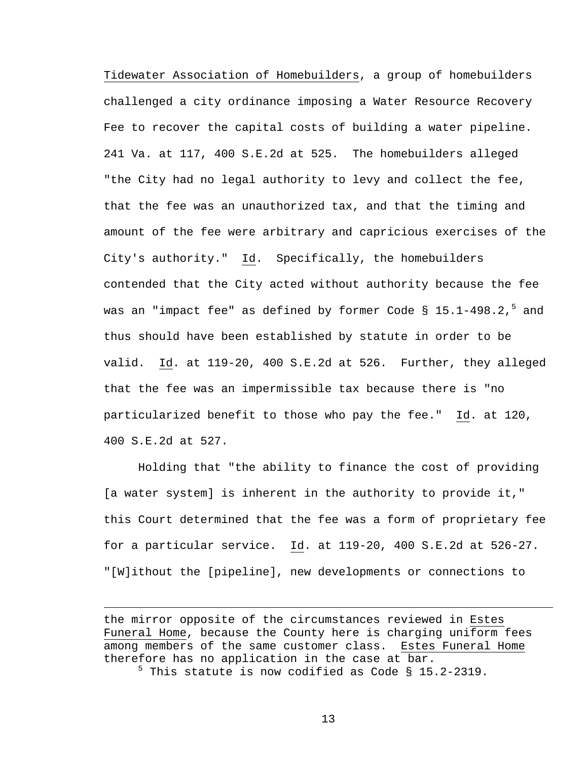Tidewater Association of Homebuilders, a group of homebuilders challenged a city ordinance imposing a Water Resource Recovery Fee to recover the capital costs of building a water pipeline. 241 Va. at 117, 400 S.E.2d at 525. The homebuilders alleged "the City had no legal authority to levy and collect the fee, that the fee was an unauthorized tax, and that the timing and amount of the fee were arbitrary and capricious exercises of the City's authority." Id. Specifically, the homebuilders contended that the City acted without authority because the fee was an "impact fee" as defined by former Code §  $15.1$ -498.2, $^5$  and thus should have been established by statute in order to be valid. Id. at 119-20, 400 S.E.2d at 526. Further, they alleged that the fee was an impermissible tax because there is "no particularized benefit to those who pay the fee." Id. at 120, 400 S.E.2d at 527.

Holding that "the ability to finance the cost of providing [a water system] is inherent in the authority to provide it," this Court determined that the fee was a form of proprietary fee for a particular service. Id. at 119-20, 400 S.E.2d at 526-27. "[W]ithout the [pipeline], new developments or connections to

the mirror opposite of the circumstances reviewed in Estes Funeral Home, because the County here is charging uniform fees among members of the same customer class. Estes Funeral Home therefore has no application in the case at bar. <sup>5</sup> This statute is now codified as Code § 15.2-2319.

i<br>Li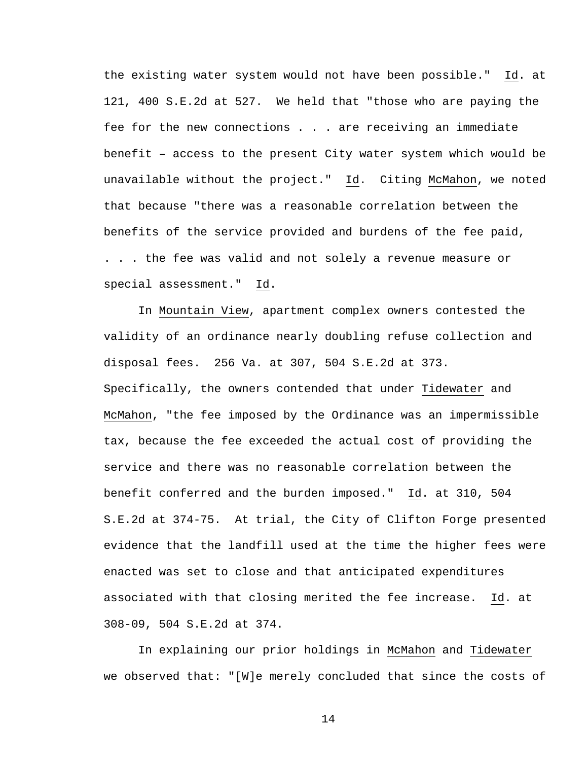the existing water system would not have been possible." Id. at 121, 400 S.E.2d at 527. We held that "those who are paying the fee for the new connections . . . are receiving an immediate benefit – access to the present City water system which would be unavailable without the project." Id. Citing McMahon, we noted that because "there was a reasonable correlation between the benefits of the service provided and burdens of the fee paid, . . . the fee was valid and not solely a revenue measure or special assessment." Id.

In Mountain View, apartment complex owners contested the validity of an ordinance nearly doubling refuse collection and disposal fees. 256 Va. at 307, 504 S.E.2d at 373. Specifically, the owners contended that under Tidewater and McMahon, "the fee imposed by the Ordinance was an impermissible tax, because the fee exceeded the actual cost of providing the service and there was no reasonable correlation between the benefit conferred and the burden imposed." Id. at 310, 504 S.E.2d at 374-75. At trial, the City of Clifton Forge presented evidence that the landfill used at the time the higher fees were enacted was set to close and that anticipated expenditures associated with that closing merited the fee increase. Id. at 308-09, 504 S.E.2d at 374.

In explaining our prior holdings in McMahon and Tidewater we observed that: "[W]e merely concluded that since the costs of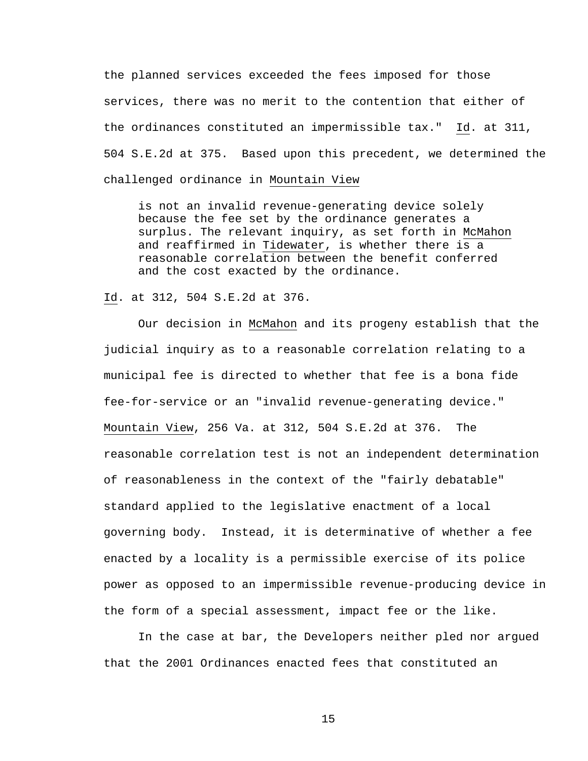the planned services exceeded the fees imposed for those services, there was no merit to the contention that either of the ordinances constituted an impermissible tax." Id. at 311, 504 S.E.2d at 375. Based upon this precedent, we determined the challenged ordinance in Mountain View

is not an invalid revenue-generating device solely because the fee set by the ordinance generates a surplus. The relevant inquiry, as set forth in McMahon and reaffirmed in Tidewater, is whether there is a reasonable correlation between the benefit conferred and the cost exacted by the ordinance.

Id. at 312, 504 S.E.2d at 376.

 Our decision in McMahon and its progeny establish that the judicial inquiry as to a reasonable correlation relating to a municipal fee is directed to whether that fee is a bona fide fee-for-service or an "invalid revenue-generating device." Mountain View, 256 Va. at 312, 504 S.E.2d at 376. The reasonable correlation test is not an independent determination of reasonableness in the context of the "fairly debatable" standard applied to the legislative enactment of a local governing body. Instead, it is determinative of whether a fee enacted by a locality is a permissible exercise of its police power as opposed to an impermissible revenue-producing device in the form of a special assessment, impact fee or the like.

In the case at bar, the Developers neither pled nor argued that the 2001 Ordinances enacted fees that constituted an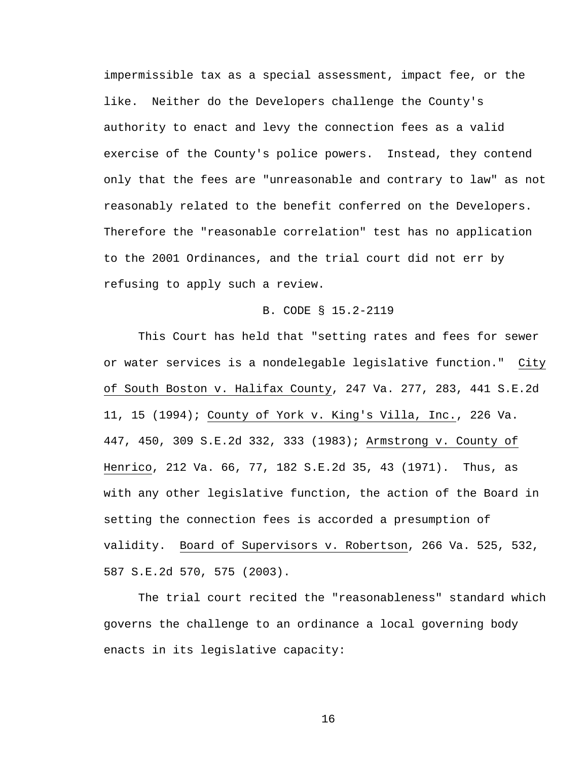impermissible tax as a special assessment, impact fee, or the like. Neither do the Developers challenge the County's authority to enact and levy the connection fees as a valid exercise of the County's police powers. Instead, they contend only that the fees are "unreasonable and contrary to law" as not reasonably related to the benefit conferred on the Developers. Therefore the "reasonable correlation" test has no application to the 2001 Ordinances, and the trial court did not err by refusing to apply such a review.

#### B. CODE § 15.2-2119

This Court has held that "setting rates and fees for sewer or water services is a nondelegable legislative function." City of South Boston v. Halifax County, 247 Va. 277, 283, 441 S.E.2d 11, 15 (1994); County of York v. King's Villa, Inc., 226 Va. 447, 450, 309 S.E.2d 332, 333 (1983); Armstrong v. County of Henrico, 212 Va. 66, 77, 182 S.E.2d 35, 43 (1971). Thus, as with any other legislative function, the action of the Board in setting the connection fees is accorded a presumption of validity. Board of Supervisors v. Robertson, 266 Va. 525, 532, 587 S.E.2d 570, 575 (2003).

The trial court recited the "reasonableness" standard which governs the challenge to an ordinance a local governing body enacts in its legislative capacity: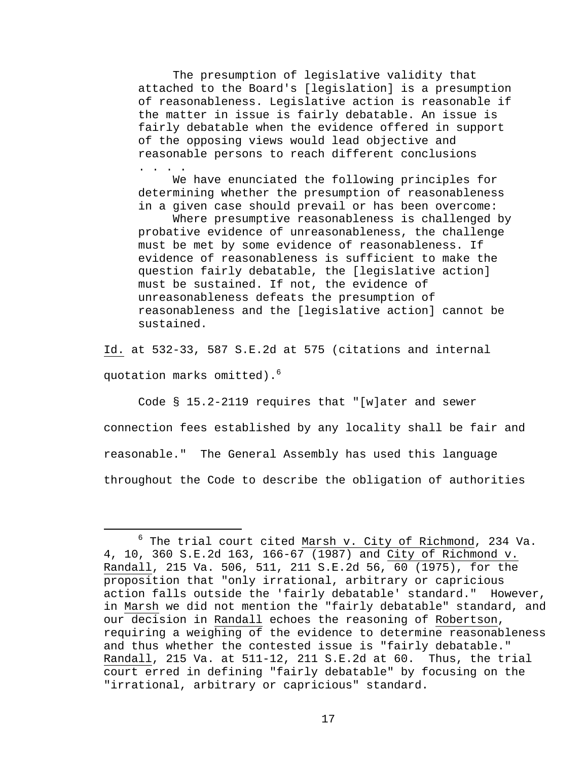The presumption of legislative validity that attached to the Board's [legislation] is a presumption of reasonableness. Legislative action is reasonable if the matter in issue is fairly debatable. An issue is fairly debatable when the evidence offered in support of the opposing views would lead objective and reasonable persons to reach different conclusions . . . .

We have enunciated the following principles for determining whether the presumption of reasonableness in a given case should prevail or has been overcome:

Where presumptive reasonableness is challenged by probative evidence of unreasonableness, the challenge must be met by some evidence of reasonableness. If evidence of reasonableness is sufficient to make the question fairly debatable, the [legislative action] must be sustained. If not, the evidence of unreasonableness defeats the presumption of reasonableness and the [legislative action] cannot be sustained.

Id. at 532-33, 587 S.E.2d at 575 (citations and internal quotation marks omitted).<sup>6</sup>

Code § 15.2-2119 requires that "[w]ater and sewer connection fees established by any locality shall be fair and reasonable." The General Assembly has used this language throughout the Code to describe the obligation of authorities

 $\overline{6}$  $6$  The trial court cited Marsh v. City of Richmond, 234 Va. 4, 10, 360 S.E.2d 163, 166-67 (1987) and City of Richmond v. Randall, 215 Va. 506, 511, 211 S.E.2d 56, 60 (1975), for the proposition that "only irrational, arbitrary or capricious action falls outside the 'fairly debatable' standard." However, in Marsh we did not mention the "fairly debatable" standard, and our decision in Randall echoes the reasoning of Robertson, requiring a weighing of the evidence to determine reasonableness and thus whether the contested issue is "fairly debatable." Randall, 215 Va. at 511-12, 211 S.E.2d at 60. Thus, the trial court erred in defining "fairly debatable" by focusing on the "irrational, arbitrary or capricious" standard.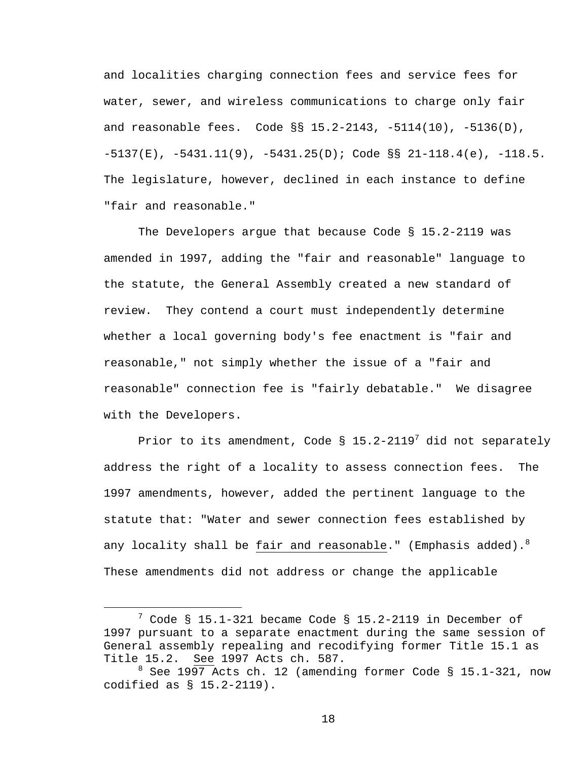and localities charging connection fees and service fees for water, sewer, and wireless communications to charge only fair and reasonable fees. Code  $\S$ § 15.2-2143, -5114(10), -5136(D),  $-5137(E)$ ,  $-5431.11(9)$ ,  $-5431.25(D)$ ; Code §§ 21-118.4(e),  $-118.5$ . The legislature, however, declined in each instance to define "fair and reasonable."

The Developers argue that because Code § 15.2-2119 was amended in 1997, adding the "fair and reasonable" language to the statute, the General Assembly created a new standard of review. They contend a court must independently determine whether a local governing body's fee enactment is "fair and reasonable," not simply whether the issue of a "fair and reasonable" connection fee is "fairly debatable." We disagree with the Developers.

Prior to its amendment, Code §  $15.2-2119^7$  did not separately address the right of a locality to assess connection fees. The 1997 amendments, however, added the pertinent language to the statute that: "Water and sewer connection fees established by any locality shall be  $\underline{\mathsf{fair}}$  and reasonable." (Emphasis added). $^8$ These amendments did not address or change the applicable

 $\overline{\phantom{a}}$  $\frac{7}{1}$  Code § 15.1-321 became Code § 15.2-2119 in December of 1997 pursuant to a separate enactment during the same session of General assembly repealing and recodifying former Title 15.1 as Title 15.2. See 1997 Acts ch. 587.

 $8$  See 1997 Acts ch. 12 (amending former Code § 15.1-321, now codified as § 15.2-2119).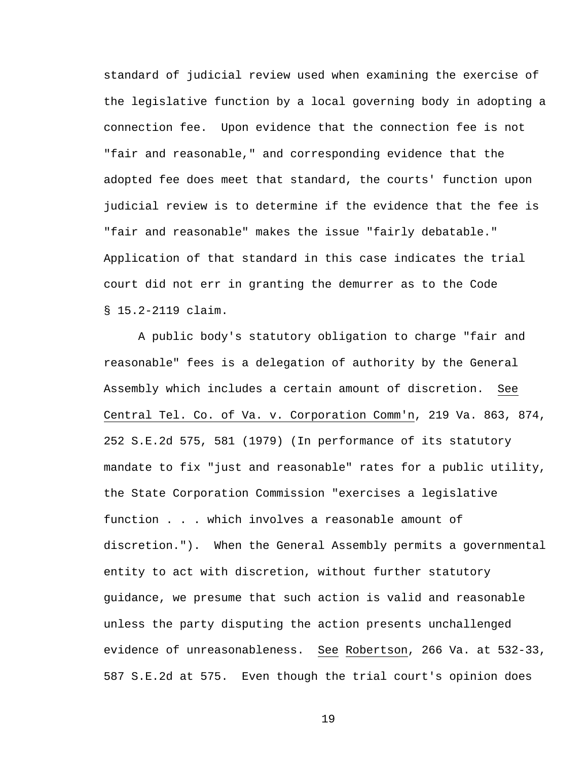standard of judicial review used when examining the exercise of the legislative function by a local governing body in adopting a connection fee. Upon evidence that the connection fee is not "fair and reasonable," and corresponding evidence that the adopted fee does meet that standard, the courts' function upon judicial review is to determine if the evidence that the fee is "fair and reasonable" makes the issue "fairly debatable." Application of that standard in this case indicates the trial court did not err in granting the demurrer as to the Code § 15.2-2119 claim.

A public body's statutory obligation to charge "fair and reasonable" fees is a delegation of authority by the General Assembly which includes a certain amount of discretion. See Central Tel. Co. of Va. v. Corporation Comm'n, 219 Va. 863, 874, 252 S.E.2d 575, 581 (1979) (In performance of its statutory mandate to fix "just and reasonable" rates for a public utility, the State Corporation Commission "exercises a legislative function . . . which involves a reasonable amount of discretion."). When the General Assembly permits a governmental entity to act with discretion, without further statutory guidance, we presume that such action is valid and reasonable unless the party disputing the action presents unchallenged evidence of unreasonableness. See Robertson, 266 Va. at 532-33, 587 S.E.2d at 575. Even though the trial court's opinion does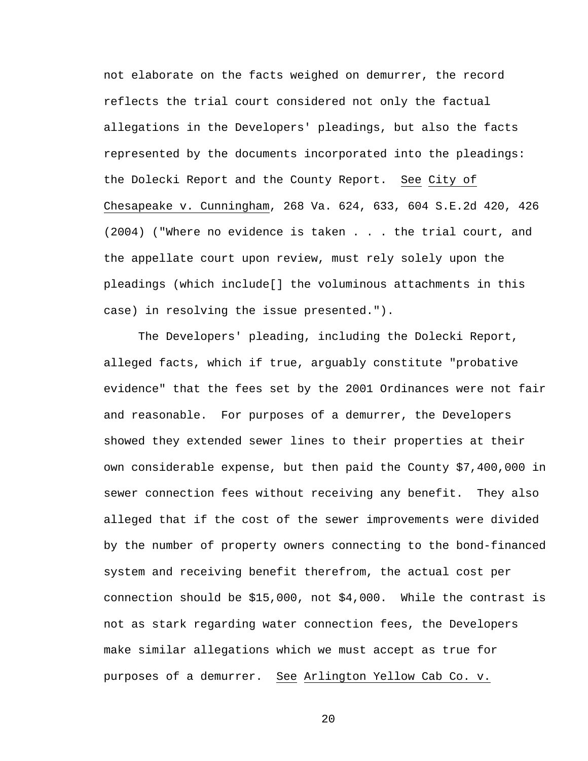not elaborate on the facts weighed on demurrer, the record reflects the trial court considered not only the factual allegations in the Developers' pleadings, but also the facts represented by the documents incorporated into the pleadings: the Dolecki Report and the County Report. See City of Chesapeake v. Cunningham, 268 Va. 624, 633, 604 S.E.2d 420, 426 (2004) ("Where no evidence is taken . . . the trial court, and the appellate court upon review, must rely solely upon the pleadings (which include[] the voluminous attachments in this case) in resolving the issue presented.").

The Developers' pleading, including the Dolecki Report, alleged facts, which if true, arguably constitute "probative evidence" that the fees set by the 2001 Ordinances were not fair and reasonable. For purposes of a demurrer, the Developers showed they extended sewer lines to their properties at their own considerable expense, but then paid the County \$7,400,000 in sewer connection fees without receiving any benefit. They also alleged that if the cost of the sewer improvements were divided by the number of property owners connecting to the bond-financed system and receiving benefit therefrom, the actual cost per connection should be \$15,000, not \$4,000. While the contrast is not as stark regarding water connection fees, the Developers make similar allegations which we must accept as true for purposes of a demurrer. See Arlington Yellow Cab Co. v.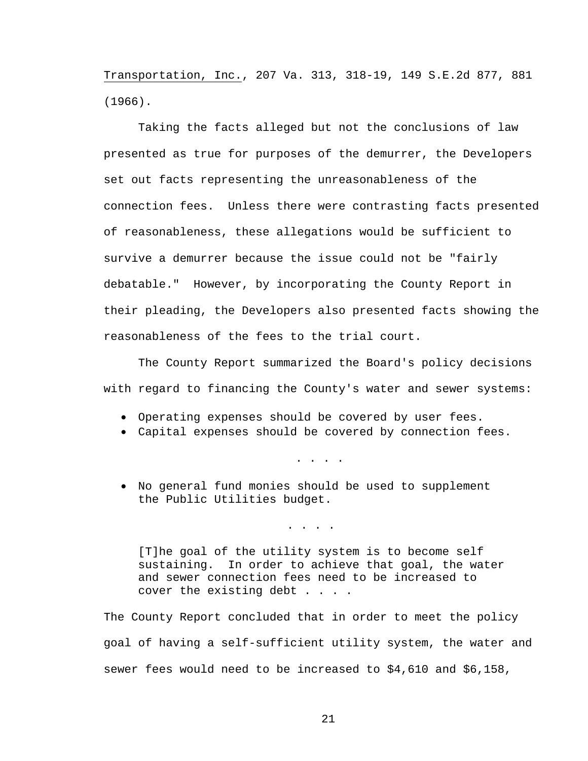Transportation, Inc., 207 Va. 313, 318-19, 149 S.E.2d 877, 881 (1966).

Taking the facts alleged but not the conclusions of law presented as true for purposes of the demurrer, the Developers set out facts representing the unreasonableness of the connection fees. Unless there were contrasting facts presented of reasonableness, these allegations would be sufficient to survive a demurrer because the issue could not be "fairly debatable." However, by incorporating the County Report in their pleading, the Developers also presented facts showing the reasonableness of the fees to the trial court.

The County Report summarized the Board's policy decisions with regard to financing the County's water and sewer systems:

- Operating expenses should be covered by user fees.
- Capital expenses should be covered by connection fees.

. . . .

• No general fund monies should be used to supplement the Public Utilities budget.

. . . .

[T]he goal of the utility system is to become self sustaining. In order to achieve that goal, the water and sewer connection fees need to be increased to cover the existing debt . . . .

The County Report concluded that in order to meet the policy goal of having a self-sufficient utility system, the water and sewer fees would need to be increased to \$4,610 and \$6,158,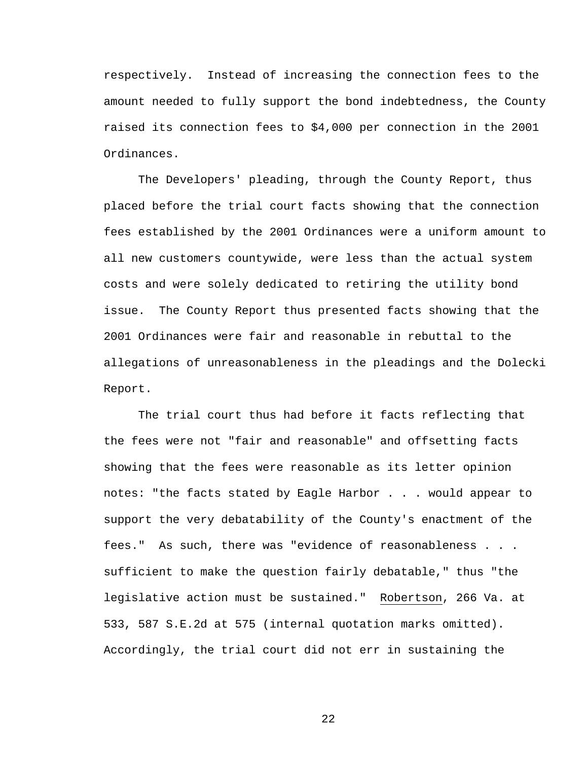respectively. Instead of increasing the connection fees to the amount needed to fully support the bond indebtedness, the County raised its connection fees to \$4,000 per connection in the 2001 Ordinances.

The Developers' pleading, through the County Report, thus placed before the trial court facts showing that the connection fees established by the 2001 Ordinances were a uniform amount to all new customers countywide, were less than the actual system costs and were solely dedicated to retiring the utility bond issue. The County Report thus presented facts showing that the 2001 Ordinances were fair and reasonable in rebuttal to the allegations of unreasonableness in the pleadings and the Dolecki Report.

The trial court thus had before it facts reflecting that the fees were not "fair and reasonable" and offsetting facts showing that the fees were reasonable as its letter opinion notes: "the facts stated by Eagle Harbor . . . would appear to support the very debatability of the County's enactment of the fees." As such, there was "evidence of reasonableness . . . sufficient to make the question fairly debatable," thus "the legislative action must be sustained." Robertson, 266 Va. at 533, 587 S.E.2d at 575 (internal quotation marks omitted). Accordingly, the trial court did not err in sustaining the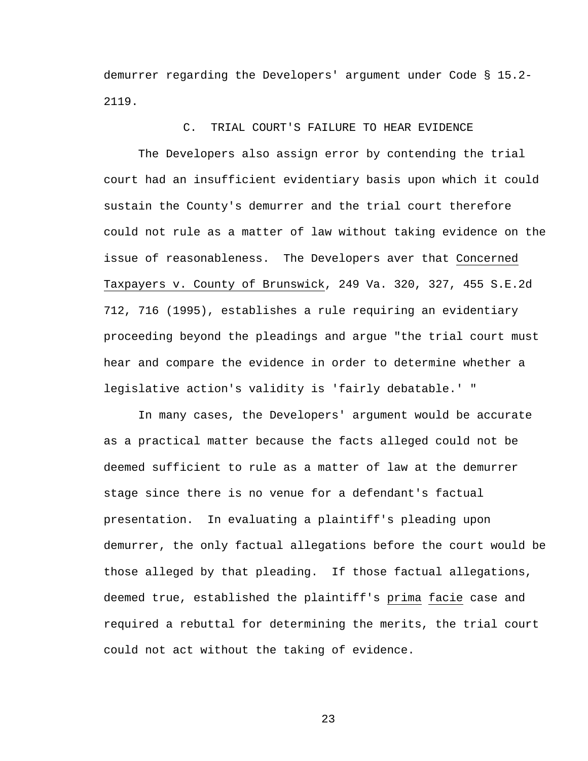demurrer regarding the Developers' argument under Code § 15.2- 2119.

### C. TRIAL COURT'S FAILURE TO HEAR EVIDENCE

 The Developers also assign error by contending the trial court had an insufficient evidentiary basis upon which it could sustain the County's demurrer and the trial court therefore could not rule as a matter of law without taking evidence on the issue of reasonableness. The Developers aver that Concerned Taxpayers v. County of Brunswick, 249 Va. 320, 327, 455 S.E.2d 712, 716 (1995), establishes a rule requiring an evidentiary proceeding beyond the pleadings and argue "the trial court must hear and compare the evidence in order to determine whether a legislative action's validity is 'fairly debatable.' "

 In many cases, the Developers' argument would be accurate as a practical matter because the facts alleged could not be deemed sufficient to rule as a matter of law at the demurrer stage since there is no venue for a defendant's factual presentation. In evaluating a plaintiff's pleading upon demurrer, the only factual allegations before the court would be those alleged by that pleading. If those factual allegations, deemed true, established the plaintiff's prima facie case and required a rebuttal for determining the merits, the trial court could not act without the taking of evidence.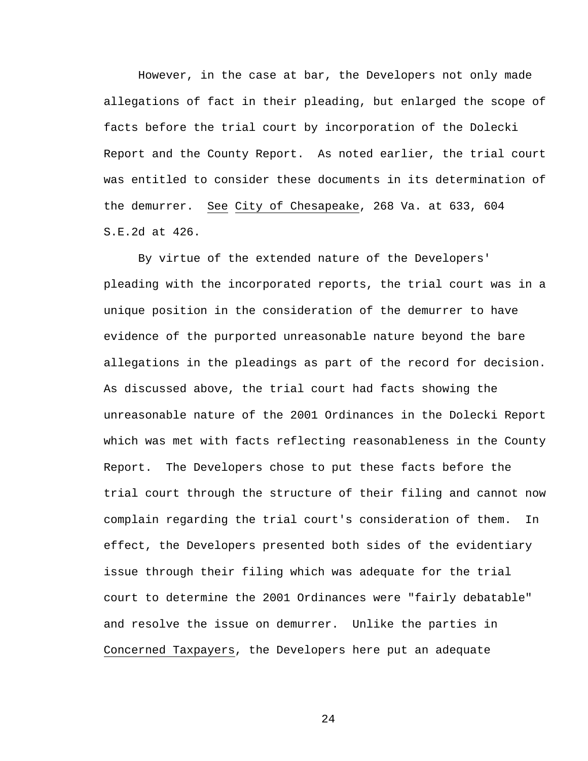However, in the case at bar, the Developers not only made allegations of fact in their pleading, but enlarged the scope of facts before the trial court by incorporation of the Dolecki Report and the County Report. As noted earlier, the trial court was entitled to consider these documents in its determination of the demurrer. See City of Chesapeake, 268 Va. at 633, 604 S.E.2d at 426.

 By virtue of the extended nature of the Developers' pleading with the incorporated reports, the trial court was in a unique position in the consideration of the demurrer to have evidence of the purported unreasonable nature beyond the bare allegations in the pleadings as part of the record for decision. As discussed above, the trial court had facts showing the unreasonable nature of the 2001 Ordinances in the Dolecki Report which was met with facts reflecting reasonableness in the County Report. The Developers chose to put these facts before the trial court through the structure of their filing and cannot now complain regarding the trial court's consideration of them. In effect, the Developers presented both sides of the evidentiary issue through their filing which was adequate for the trial court to determine the 2001 Ordinances were "fairly debatable" and resolve the issue on demurrer. Unlike the parties in Concerned Taxpayers, the Developers here put an adequate